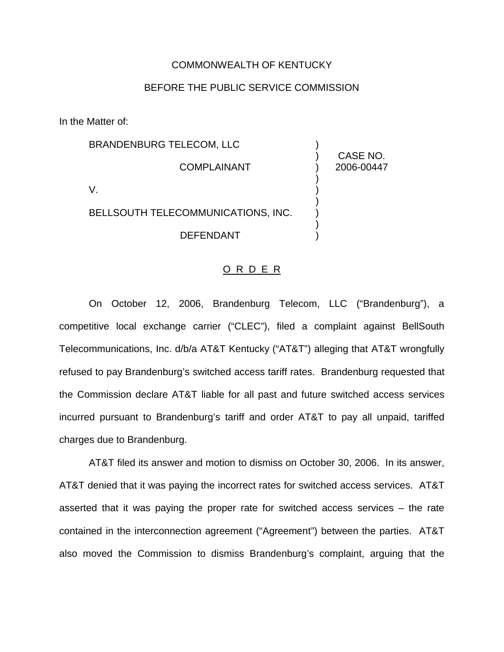### COMMONWEALTH OF KENTUCKY

## BEFORE THE PUBLIC SERVICE COMMISSION

In the Matter of:

| <b>BRANDENBURG TELECOM, LLC</b>    |                        |
|------------------------------------|------------------------|
| <b>COMPLAINANT</b>                 | CASE NO.<br>2006-00447 |
|                                    |                        |
| BELLSOUTH TELECOMMUNICATIONS, INC. |                        |
| <b>DEFENDANT</b>                   |                        |

#### O R D E R

On October 12, 2006, Brandenburg Telecom, LLC ("Brandenburg"), a competitive local exchange carrier ("CLEC"), filed a complaint against BellSouth Telecommunications, Inc. d/b/a AT&T Kentucky ("AT&T") alleging that AT&T wrongfully refused to pay Brandenburg's switched access tariff rates. Brandenburg requested that the Commission declare AT&T liable for all past and future switched access services incurred pursuant to Brandenburg's tariff and order AT&T to pay all unpaid, tariffed charges due to Brandenburg.

AT&T filed its answer and motion to dismiss on October 30, 2006. In its answer, AT&T denied that it was paying the incorrect rates for switched access services. AT&T asserted that it was paying the proper rate for switched access services – the rate contained in the interconnection agreement ("Agreement") between the parties. AT&T also moved the Commission to dismiss Brandenburg's complaint, arguing that the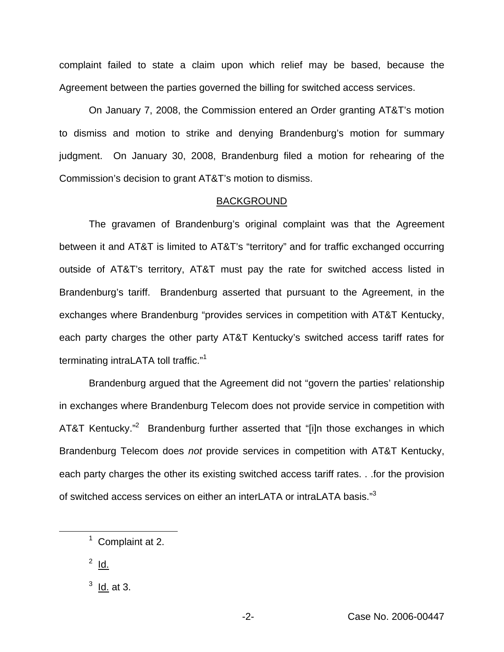complaint failed to state a claim upon which relief may be based, because the Agreement between the parties governed the billing for switched access services.

On January 7, 2008, the Commission entered an Order granting AT&T's motion to dismiss and motion to strike and denying Brandenburg's motion for summary judgment. On January 30, 2008, Brandenburg filed a motion for rehearing of the Commission's decision to grant AT&T's motion to dismiss.

### BACKGROUND

The gravamen of Brandenburg's original complaint was that the Agreement between it and AT&T is limited to AT&T's "territory" and for traffic exchanged occurring outside of AT&T's territory, AT&T must pay the rate for switched access listed in Brandenburg's tariff. Brandenburg asserted that pursuant to the Agreement, in the exchanges where Brandenburg "provides services in competition with AT&T Kentucky, each party charges the other party AT&T Kentucky's switched access tariff rates for terminating intraLATA toll traffic."<sup>1</sup>

Brandenburg argued that the Agreement did not "govern the parties' relationship in exchanges where Brandenburg Telecom does not provide service in competition with AT&T Kentucky."<sup>2</sup> Brandenburg further asserted that "[i]n those exchanges in which Brandenburg Telecom does *not* provide services in competition with AT&T Kentucky, each party charges the other its existing switched access tariff rates. . .for the provision of switched access services on either an interLATA or intraLATA basis."<sup>3</sup>

 $2 \underline{d}$ .

 $1$  Complaint at 2.

 $3$  <u>Id.</u> at 3.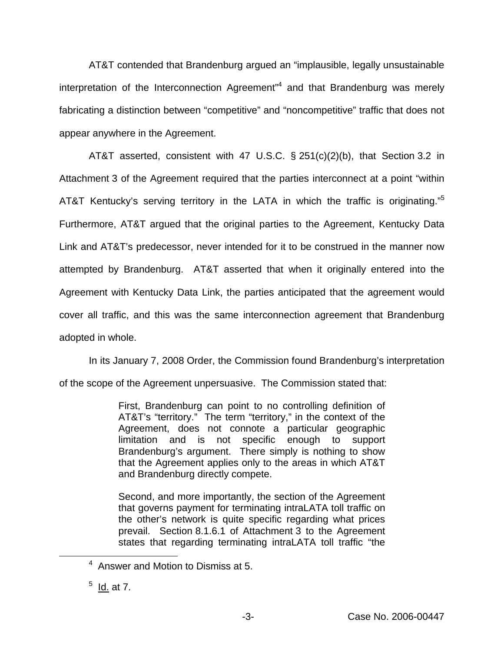AT&T contended that Brandenburg argued an "implausible, legally unsustainable interpretation of the Interconnection Agreement $n^4$  and that Brandenburg was merely fabricating a distinction between "competitive" and "noncompetitive" traffic that does not appear anywhere in the Agreement.

AT&T asserted, consistent with 47 U.S.C. § 251(c)(2)(b), that Section 3.2 in Attachment 3 of the Agreement required that the parties interconnect at a point "within AT&T Kentucky's serving territory in the LATA in which the traffic is originating."<sup>5</sup> Furthermore, AT&T argued that the original parties to the Agreement, Kentucky Data Link and AT&T's predecessor, never intended for it to be construed in the manner now attempted by Brandenburg. AT&T asserted that when it originally entered into the Agreement with Kentucky Data Link, the parties anticipated that the agreement would cover all traffic, and this was the same interconnection agreement that Brandenburg adopted in whole.

In its January 7, 2008 Order, the Commission found Brandenburg's interpretation of the scope of the Agreement unpersuasive. The Commission stated that:

> First, Brandenburg can point to no controlling definition of AT&T's "territory." The term "territory," in the context of the Agreement, does not connote a particular geographic limitation and is not specific enough to support Brandenburg's argument. There simply is nothing to show that the Agreement applies only to the areas in which AT&T and Brandenburg directly compete.

> Second, and more importantly, the section of the Agreement that governs payment for terminating intraLATA toll traffic on the other's network is quite specific regarding what prices prevail. Section 8.1.6.1 of Attachment 3 to the Agreement states that regarding terminating intraLATA toll traffic "the

<sup>4</sup> Answer and Motion to Dismiss at 5.

 $<sup>5</sup>$  <u>Id.</u> at 7.</sup>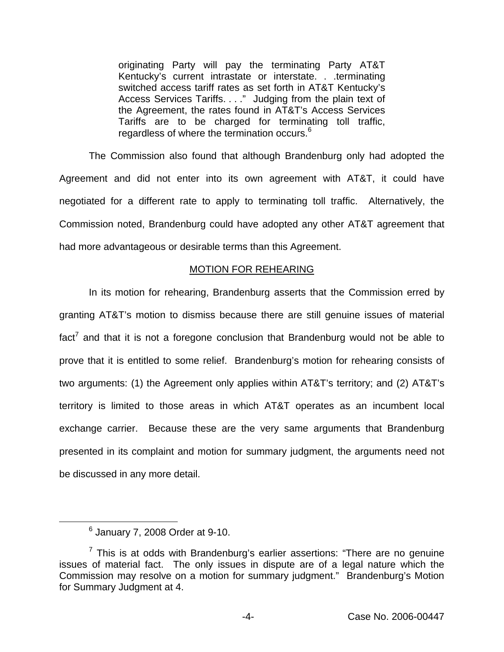originating Party will pay the terminating Party AT&T Kentucky's current intrastate or interstate. . .terminating switched access tariff rates as set forth in AT&T Kentucky's Access Services Tariffs. . . ." Judging from the plain text of the Agreement, the rates found in AT&T's Access Services Tariffs are to be charged for terminating toll traffic, regardless of where the termination occurs.<sup>6</sup>

The Commission also found that although Brandenburg only had adopted the Agreement and did not enter into its own agreement with AT&T, it could have negotiated for a different rate to apply to terminating toll traffic. Alternatively, the Commission noted, Brandenburg could have adopted any other AT&T agreement that had more advantageous or desirable terms than this Agreement.

# MOTION FOR REHEARING

In its motion for rehearing, Brandenburg asserts that the Commission erred by granting AT&T's motion to dismiss because there are still genuine issues of material fact<sup>7</sup> and that it is not a foregone conclusion that Brandenburg would not be able to prove that it is entitled to some relief. Brandenburg's motion for rehearing consists of two arguments: (1) the Agreement only applies within AT&T's territory; and (2) AT&T's territory is limited to those areas in which AT&T operates as an incumbent local exchange carrier. Because these are the very same arguments that Brandenburg presented in its complaint and motion for summary judgment, the arguments need not be discussed in any more detail.

<sup>6</sup> January 7, 2008 Order at 9-10.

 $7$  This is at odds with Brandenburg's earlier assertions: "There are no genuine issues of material fact. The only issues in dispute are of a legal nature which the Commission may resolve on a motion for summary judgment." Brandenburg's Motion for Summary Judgment at 4.